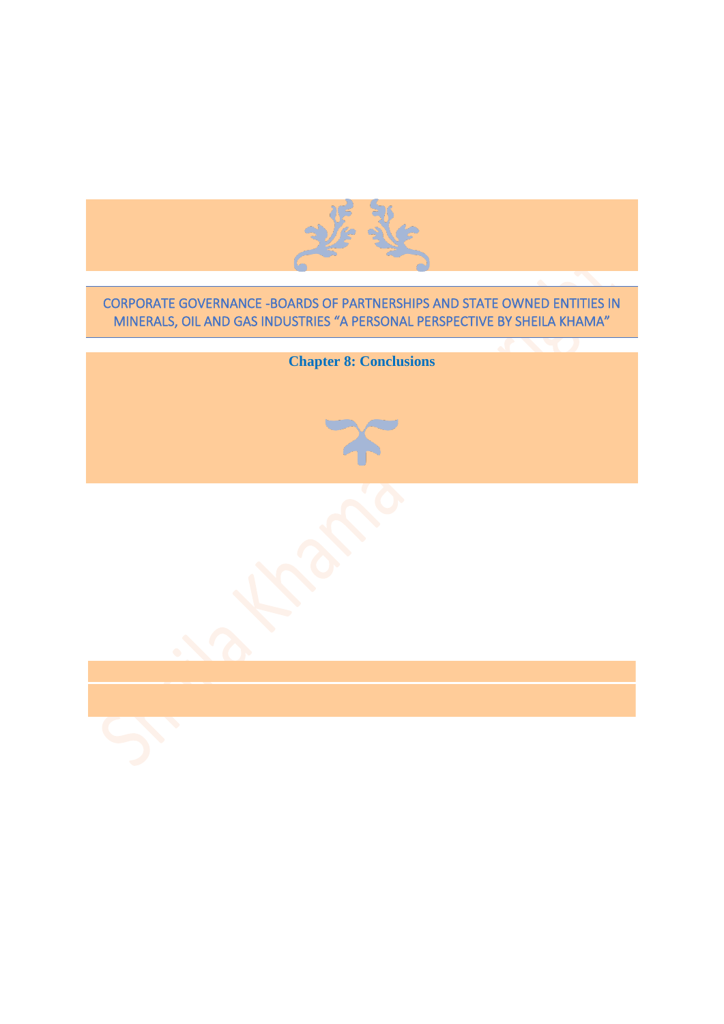

## CORPORATE GOVERNANCE -BOARDS OF PARTNERSHIPS AND STATE OWNED ENTITIES IN MINERALS, OIL AND GAS INDUSTRIES "A PERSONAL PERSPECTIVE BY SHEILA KHAMA"

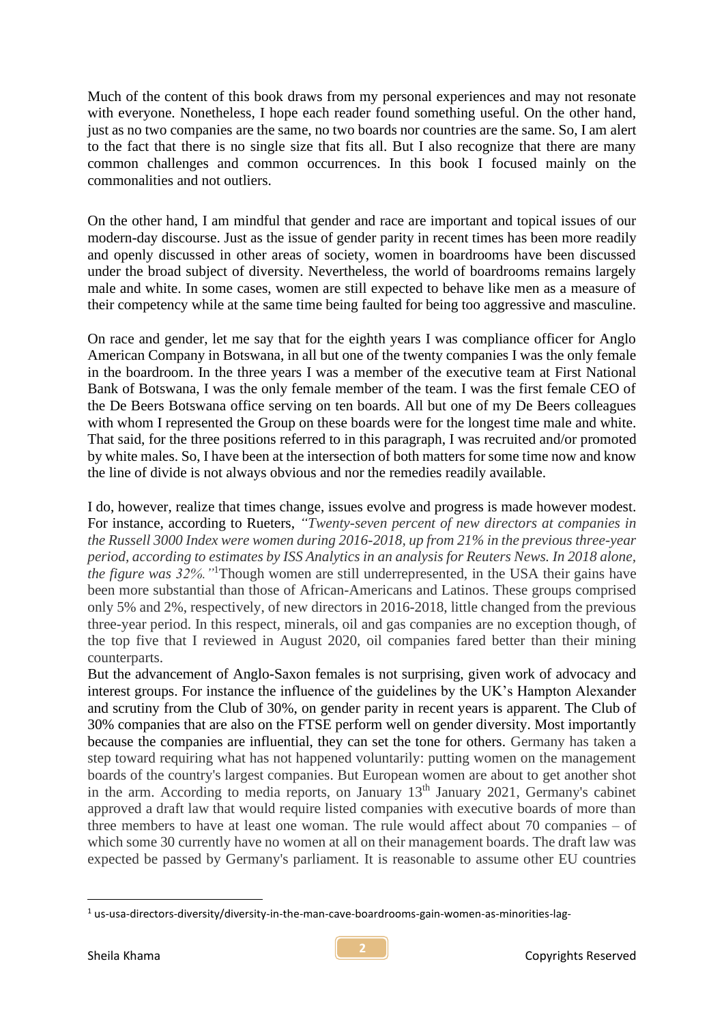Much of the content of this book draws from my personal experiences and may not resonate with everyone. Nonetheless, I hope each reader found something useful. On the other hand, just as no two companies are the same, no two boards nor countries are the same. So, I am alert to the fact that there is no single size that fits all. But I also recognize that there are many common challenges and common occurrences. In this book I focused mainly on the commonalities and not outliers.

On the other hand, I am mindful that gender and race are important and topical issues of our modern-day discourse. Just as the issue of gender parity in recent times has been more readily and openly discussed in other areas of society, women in boardrooms have been discussed under the broad subject of diversity. Nevertheless, the world of boardrooms remains largely male and white. In some cases, women are still expected to behave like men as a measure of their competency while at the same time being faulted for being too aggressive and masculine.

On race and gender, let me say that for the eighth years I was compliance officer for Anglo American Company in Botswana, in all but one of the twenty companies I was the only female in the boardroom. In the three years I was a member of the executive team at First National Bank of Botswana, I was the only female member of the team. I was the first female CEO of the De Beers Botswana office serving on ten boards. All but one of my De Beers colleagues with whom I represented the Group on these boards were for the longest time male and white. That said, for the three positions referred to in this paragraph, I was recruited and/or promoted by white males. So, I have been at the intersection of both matters for some time now and know the line of divide is not always obvious and nor the remedies readily available.

I do, however, realize that times change, issues evolve and progress is made however modest. For instance, according to Rueters, *"Twenty-seven percent of new directors at companies in the Russell 3000 Index were women during 2016-2018, up from 21% in the previous three-year period, according to estimates by ISS Analytics in an analysis for Reuters News. In 2018 alone, the figure was 32%."*<sup>1</sup>Though women are still underrepresented, in the USA their gains have been more substantial than those of African-Americans and Latinos. These groups comprised only 5% and 2%, respectively, of new directors in 2016-2018, little changed from the previous three-year period. In this respect, minerals, oil and gas companies are no exception though, of the top five that I reviewed in August 2020, oil companies fared better than their mining counterparts.

But the advancement of Anglo-Saxon females is not surprising, given work of advocacy and interest groups. For instance the influence of the guidelines by the UK's Hampton Alexander and scrutiny from the Club of 30%, on gender parity in recent years is apparent. The Club of 30% companies that are also on the FTSE perform well on gender diversity. Most importantly because the companies are influential, they can set the tone for others. Germany has taken a step toward requiring what has not happened voluntarily: putting women on the management boards of the country's largest companies. But European women are about to get another shot in the arm. According to media reports, on January  $13<sup>th</sup>$  January 2021, Germany's cabinet approved a draft law that would require listed companies with executive boards of more than three members to have at least one woman. The rule would affect about 70 companies – of which some 30 currently have no women at all on their management boards. The draft law was expected be passed by Germany's parliament. It is reasonable to assume other EU countries

<sup>&</sup>lt;sup>1</sup> us-usa-directors-diversity/diversity-in-the-man-cave-boardrooms-gain-women-as-minorities-lag-